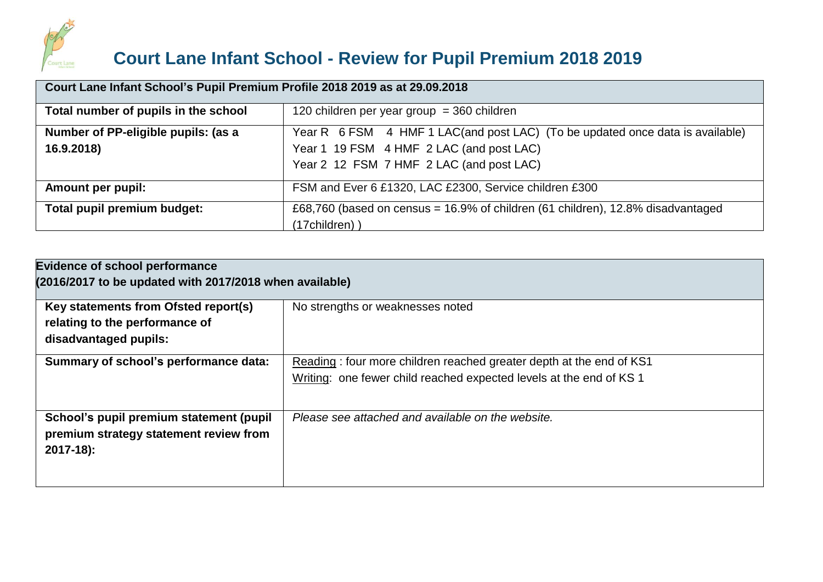

# **Court Lane Infant School - Review for Pupil Premium 2018 2019**

| Court Lane Infant School's Pupil Premium Profile 2018 2019 as at 29.09.2018 |                                                                                    |  |  |  |  |  |  |
|-----------------------------------------------------------------------------|------------------------------------------------------------------------------------|--|--|--|--|--|--|
| Total number of pupils in the school                                        | 120 children per year group = 360 children                                         |  |  |  |  |  |  |
| Number of PP-eligible pupils: (as a                                         | Year R 6 FSM 4 HMF 1 LAC(and post LAC) (To be updated once data is available)      |  |  |  |  |  |  |
| 16.9.2018)                                                                  | Year 1 19 FSM 4 HMF 2 LAC (and post LAC)                                           |  |  |  |  |  |  |
|                                                                             | Year 2 12 FSM 7 HMF 2 LAC (and post LAC)                                           |  |  |  |  |  |  |
| Amount per pupil:                                                           | FSM and Ever 6 £1320, LAC £2300, Service children £300                             |  |  |  |  |  |  |
| Total pupil premium budget:                                                 | £68,760 (based on census = $16.9\%$ of children (61 children), 12.8% disadvantaged |  |  |  |  |  |  |
|                                                                             | (17children))                                                                      |  |  |  |  |  |  |

| <b>Evidence of school performance</b><br>(2016/2017 to be updated with 2017/2018 when available) |                                                                                                                                            |  |  |  |  |
|--------------------------------------------------------------------------------------------------|--------------------------------------------------------------------------------------------------------------------------------------------|--|--|--|--|
| Key statements from Ofsted report(s)<br>relating to the performance of<br>disadvantaged pupils:  | No strengths or weaknesses noted                                                                                                           |  |  |  |  |
| Summary of school's performance data:                                                            | Reading: four more children reached greater depth at the end of KS1<br>Writing: one fewer child reached expected levels at the end of KS 1 |  |  |  |  |
| School's pupil premium statement (pupil<br>premium strategy statement review from<br>$2017-18$ : | Please see attached and available on the website.                                                                                          |  |  |  |  |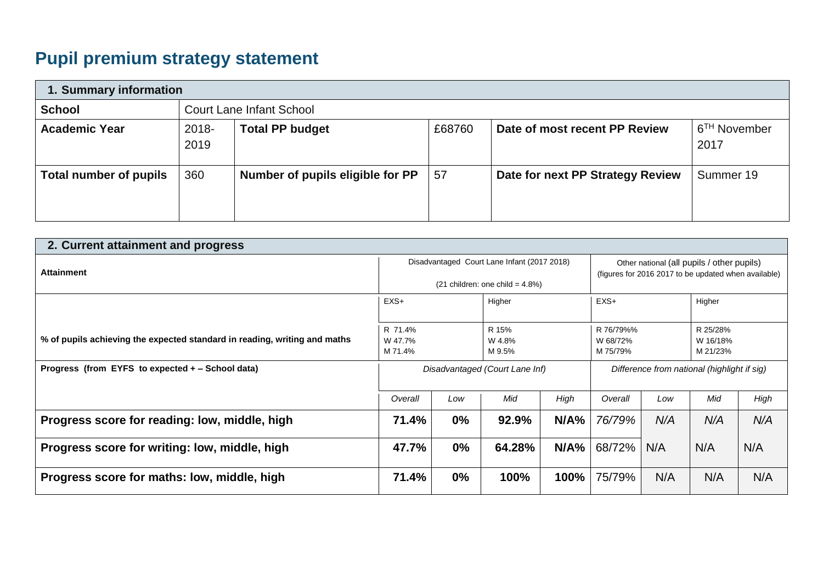# **Pupil premium strategy statement**

| 1. Summary information        |               |                                                                                                       |    |                                  |           |  |  |  |
|-------------------------------|---------------|-------------------------------------------------------------------------------------------------------|----|----------------------------------|-----------|--|--|--|
| <b>School</b>                 |               | <b>Court Lane Infant School</b>                                                                       |    |                                  |           |  |  |  |
| <b>Academic Year</b>          | 2018-<br>2019 | 6 <sup>TH</sup> November<br><b>Total PP budget</b><br>Date of most recent PP Review<br>£68760<br>2017 |    |                                  |           |  |  |  |
| <b>Total number of pupils</b> | 360           | Number of pupils eligible for PP                                                                      | 57 | Date for next PP Strategy Review | Summer 19 |  |  |  |

| 2. Current attainment and progress                                        |                                                                                  |       |        |                                             |                                                                                                    |                                  |     |      |
|---------------------------------------------------------------------------|----------------------------------------------------------------------------------|-------|--------|---------------------------------------------|----------------------------------------------------------------------------------------------------|----------------------------------|-----|------|
| <b>Attainment</b>                                                         | Disadvantaged Court Lane Infant (2017 2018)<br>$(21$ children: one child = 4.8%) |       |        |                                             | Other national (all pupils / other pupils)<br>(figures for 2016 2017 to be updated when available) |                                  |     |      |
|                                                                           | $EXS+$<br>Higher                                                                 |       | $EXS+$ |                                             | Higher                                                                                             |                                  |     |      |
| % of pupils achieving the expected standard in reading, writing and maths | R 71.4%<br>R 15%<br>W 47.7%<br>W 4.8%<br>M 71.4%<br>M 9.5%                       |       |        | R 76/79%%<br>W 68/72%<br>M 75/79%           |                                                                                                    | R 25/28%<br>W 16/18%<br>M 21/23% |     |      |
| Progress (from EYFS to expected + – School data)                          | Disadvantaged (Court Lane Inf)                                                   |       |        | Difference from national (highlight if sig) |                                                                                                    |                                  |     |      |
|                                                                           | Overall                                                                          | Low   | Mid    | High                                        | Overall                                                                                            | Low                              | Mid | High |
| Progress score for reading: low, middle, high                             | 71.4%                                                                            | $0\%$ | 92.9%  | N/A%                                        | 76/79%                                                                                             | N/A                              | N/A | N/A  |
| Progress score for writing: low, middle, high                             | 47.7%                                                                            | 0%    | 64.28% | N/A%                                        | 68/72%                                                                                             | N/A                              | N/A | N/A  |
| Progress score for maths: low, middle, high                               | 71.4%                                                                            | $0\%$ | 100%   | 100%                                        | 75/79%                                                                                             | N/A                              | N/A | N/A  |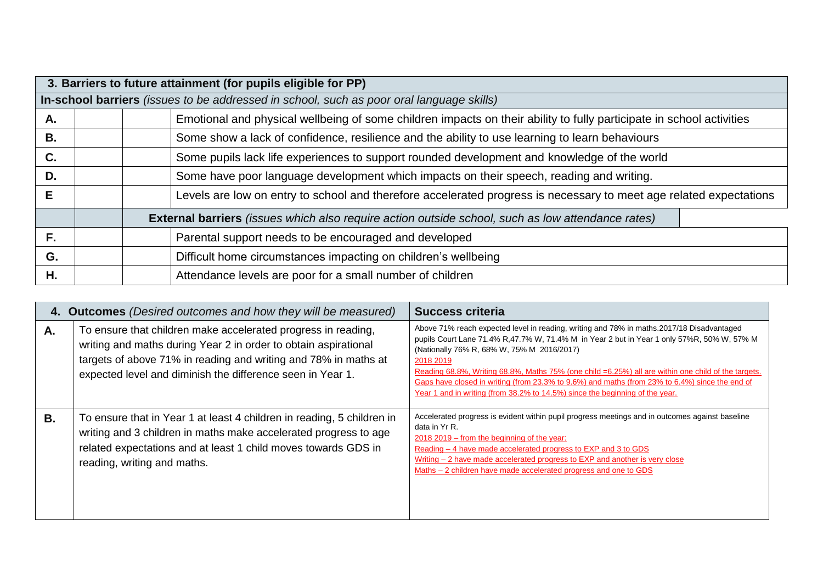|    | 3. Barriers to future attainment (for pupils eligible for PP)                                                        |                                                                                             |                                                                                                                    |  |  |  |  |  |  |
|----|----------------------------------------------------------------------------------------------------------------------|---------------------------------------------------------------------------------------------|--------------------------------------------------------------------------------------------------------------------|--|--|--|--|--|--|
|    | In-school barriers (issues to be addressed in school, such as poor oral language skills)                             |                                                                                             |                                                                                                                    |  |  |  |  |  |  |
| А. | Emotional and physical wellbeing of some children impacts on their ability to fully participate in school activities |                                                                                             |                                                                                                                    |  |  |  |  |  |  |
| В. |                                                                                                                      |                                                                                             | Some show a lack of confidence, resilience and the ability to use learning to learn behaviours                     |  |  |  |  |  |  |
| C. |                                                                                                                      | Some pupils lack life experiences to support rounded development and knowledge of the world |                                                                                                                    |  |  |  |  |  |  |
| D. |                                                                                                                      |                                                                                             | Some have poor language development which impacts on their speech, reading and writing.                            |  |  |  |  |  |  |
| E. |                                                                                                                      |                                                                                             | Levels are low on entry to school and therefore accelerated progress is necessary to meet age related expectations |  |  |  |  |  |  |
|    | <b>External barriers</b> (issues which also require action outside school, such as low attendance rates)             |                                                                                             |                                                                                                                    |  |  |  |  |  |  |
| F. |                                                                                                                      |                                                                                             | Parental support needs to be encouraged and developed                                                              |  |  |  |  |  |  |
| G. |                                                                                                                      |                                                                                             | Difficult home circumstances impacting on children's wellbeing                                                     |  |  |  |  |  |  |
| Н. |                                                                                                                      |                                                                                             | Attendance levels are poor for a small number of children                                                          |  |  |  |  |  |  |

|    | 4. Outcomes (Desired outcomes and how they will be measured)                                                                                                                                                                                                      | <b>Success criteria</b>                                                                                                                                                                                                                                                                                                                                                                                                                                                                                                                      |
|----|-------------------------------------------------------------------------------------------------------------------------------------------------------------------------------------------------------------------------------------------------------------------|----------------------------------------------------------------------------------------------------------------------------------------------------------------------------------------------------------------------------------------------------------------------------------------------------------------------------------------------------------------------------------------------------------------------------------------------------------------------------------------------------------------------------------------------|
| А. | To ensure that children make accelerated progress in reading,<br>writing and maths during Year 2 in order to obtain aspirational<br>targets of above 71% in reading and writing and 78% in maths at<br>expected level and diminish the difference seen in Year 1. | Above 71% reach expected level in reading, writing and 78% in maths.2017/18 Disadvantaged<br>pupils Court Lane 71.4% R,47.7% W, 71.4% M in Year 2 but in Year 1 only 57% R, 50% W, 57% M<br>(Nationally 76% R, 68% W, 75% M 2016/2017)<br>2018 2019<br>Reading 68.8%, Writing 68.8%, Maths 75% (one child =6.25%) all are within one child of the targets.<br>Gaps have closed in writing (from 23.3% to 9.6%) and maths (from 23% to 6.4%) since the end of<br>Year 1 and in writing (from 38.2% to 14.5%) since the beginning of the year. |
| В. | To ensure that in Year 1 at least 4 children in reading, 5 children in<br>writing and 3 children in maths make accelerated progress to age<br>related expectations and at least 1 child moves towards GDS in<br>reading, writing and maths.                       | Accelerated progress is evident within pupil progress meetings and in outcomes against baseline<br>data in Yr R.<br>$2018$ 2019 – from the beginning of the year:<br>Reading – 4 have made accelerated progress to EXP and 3 to GDS<br>Writing $-2$ have made accelerated progress to EXP and another is very close<br>Maths – 2 children have made accelerated progress and one to GDS                                                                                                                                                      |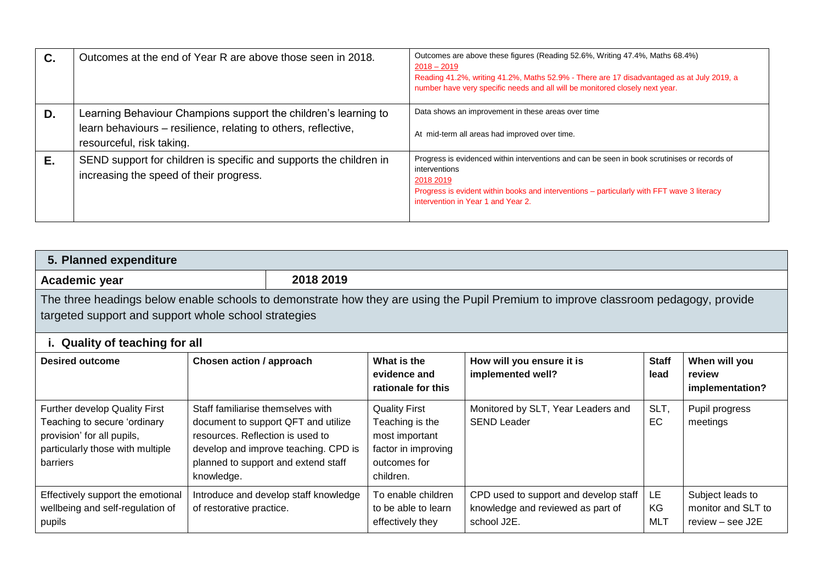| C. | Outcomes at the end of Year R are above those seen in 2018.                                                                                                    | Outcomes are above these figures (Reading 52.6%, Writing 47.4%, Maths 68.4%)<br>$2018 - 2019$<br>Reading 41.2%, writing 41.2%, Maths 52.9% - There are 17 disadvantaged as at July 2019, a<br>number have very specific needs and all will be monitored closely next year. |
|----|----------------------------------------------------------------------------------------------------------------------------------------------------------------|----------------------------------------------------------------------------------------------------------------------------------------------------------------------------------------------------------------------------------------------------------------------------|
| D. | Learning Behaviour Champions support the children's learning to<br>learn behaviours - resilience, relating to others, reflective,<br>resourceful, risk taking. | Data shows an improvement in these areas over time<br>At mid-term all areas had improved over time.                                                                                                                                                                        |
| Е. | SEND support for children is specific and supports the children in<br>increasing the speed of their progress.                                                  | Progress is evidenced within interventions and can be seen in book scrutinises or records of<br>interventions<br>2018 2019<br>Progress is evident within books and interventions – particularly with FFT wave 3 literacy<br>intervention in Year 1 and Year 2.             |

| 2018 2019<br>Academic year                                                                                                                                                                 |                                                                                     |                                                                                                                    |                                                                                                               |                                                                                           |                               |                                                            |  |
|--------------------------------------------------------------------------------------------------------------------------------------------------------------------------------------------|-------------------------------------------------------------------------------------|--------------------------------------------------------------------------------------------------------------------|---------------------------------------------------------------------------------------------------------------|-------------------------------------------------------------------------------------------|-------------------------------|------------------------------------------------------------|--|
| The three headings below enable schools to demonstrate how they are using the Pupil Premium to improve classroom pedagogy, provide<br>targeted support and support whole school strategies |                                                                                     |                                                                                                                    |                                                                                                               |                                                                                           |                               |                                                            |  |
| i. Quality of teaching for all                                                                                                                                                             |                                                                                     |                                                                                                                    |                                                                                                               |                                                                                           |                               |                                                            |  |
| <b>Desired outcome</b>                                                                                                                                                                     | Chosen action / approach                                                            |                                                                                                                    | What is the<br>evidence and<br>rationale for this                                                             | How will you ensure it is<br>implemented well?                                            | <b>Staff</b><br>lead          | When will you<br>review<br>implementation?                 |  |
| Further develop Quality First<br>Teaching to secure 'ordinary<br>provision' for all pupils,<br>particularly those with multiple<br>barriers                                                | Staff familiarise themselves with<br>resources. Reflection is used to<br>knowledge. | document to support QFT and utilize<br>develop and improve teaching. CPD is<br>planned to support and extend staff | <b>Quality First</b><br>Teaching is the<br>most important<br>factor in improving<br>outcomes for<br>children. | Monitored by SLT, Year Leaders and<br><b>SEND Leader</b>                                  | SLT,<br>EC                    | Pupil progress<br>meetings                                 |  |
| Effectively support the emotional<br>wellbeing and self-regulation of<br>pupils                                                                                                            | of restorative practice.                                                            | Introduce and develop staff knowledge                                                                              | To enable children<br>to be able to learn<br>effectively they                                                 | CPD used to support and develop staff<br>knowledge and reviewed as part of<br>school J2E. | <b>LE</b><br>KG<br><b>MLT</b> | Subject leads to<br>monitor and SLT to<br>review - see J2E |  |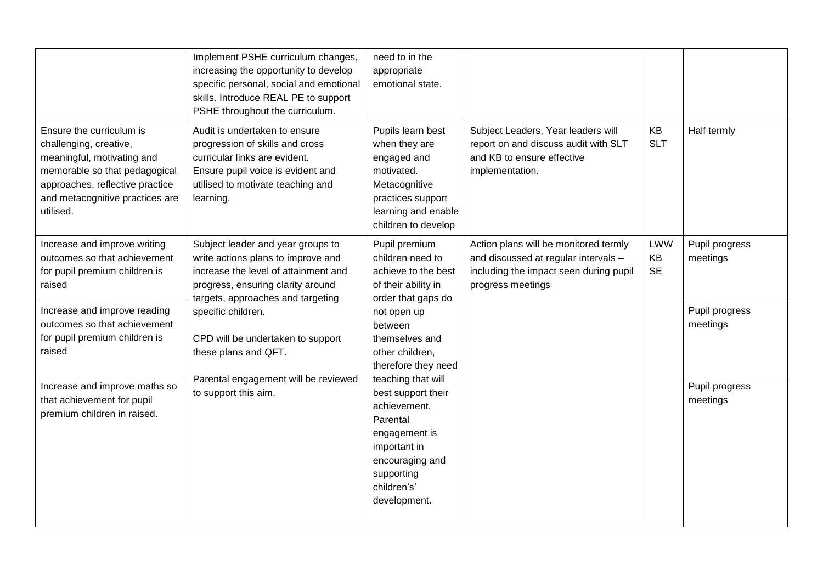|                                                                                                                                                                                                      | Implement PSHE curriculum changes,<br>increasing the opportunity to develop<br>specific personal, social and emotional<br>skills. Introduce REAL PE to support<br>PSHE throughout the curriculum. | need to in the<br>appropriate<br>emotional state.                                                                                                   |                                                                                                                                              |                               |                            |
|------------------------------------------------------------------------------------------------------------------------------------------------------------------------------------------------------|---------------------------------------------------------------------------------------------------------------------------------------------------------------------------------------------------|-----------------------------------------------------------------------------------------------------------------------------------------------------|----------------------------------------------------------------------------------------------------------------------------------------------|-------------------------------|----------------------------|
| Ensure the curriculum is<br>challenging, creative,<br>meaningful, motivating and<br>memorable so that pedagogical<br>approaches, reflective practice<br>and metacognitive practices are<br>utilised. | Audit is undertaken to ensure<br>progression of skills and cross<br>curricular links are evident.<br>Ensure pupil voice is evident and<br>utilised to motivate teaching and<br>learning.          | Pupils learn best<br>when they are<br>engaged and<br>motivated.<br>Metacognitive<br>practices support<br>learning and enable<br>children to develop | Subject Leaders, Year leaders will<br>report on and discuss audit with SLT<br>and KB to ensure effective<br>implementation.                  | KB<br><b>SLT</b>              | Half termly                |
| Increase and improve writing<br>outcomes so that achievement<br>for pupil premium children is<br>raised                                                                                              | Subject leader and year groups to<br>write actions plans to improve and<br>increase the level of attainment and<br>progress, ensuring clarity around<br>targets, approaches and targeting         | Pupil premium<br>children need to<br>achieve to the best<br>of their ability in<br>order that gaps do                                               | Action plans will be monitored termly<br>and discussed at regular intervals -<br>including the impact seen during pupil<br>progress meetings | <b>LWW</b><br>KB<br><b>SE</b> | Pupil progress<br>meetings |
| Increase and improve reading<br>outcomes so that achievement<br>for pupil premium children is<br>raised                                                                                              | specific children.<br>CPD will be undertaken to support<br>these plans and QFT.<br>Parental engagement will be reviewed                                                                           | not open up<br>between<br>themselves and<br>other children,<br>therefore they need<br>teaching that will                                            |                                                                                                                                              |                               | Pupil progress<br>meetings |
| Increase and improve maths so<br>that achievement for pupil<br>premium children in raised.                                                                                                           | to support this aim.                                                                                                                                                                              | best support their<br>achievement.<br>Parental<br>engagement is<br>important in<br>encouraging and<br>supporting<br>children's'<br>development.     |                                                                                                                                              |                               | Pupil progress<br>meetings |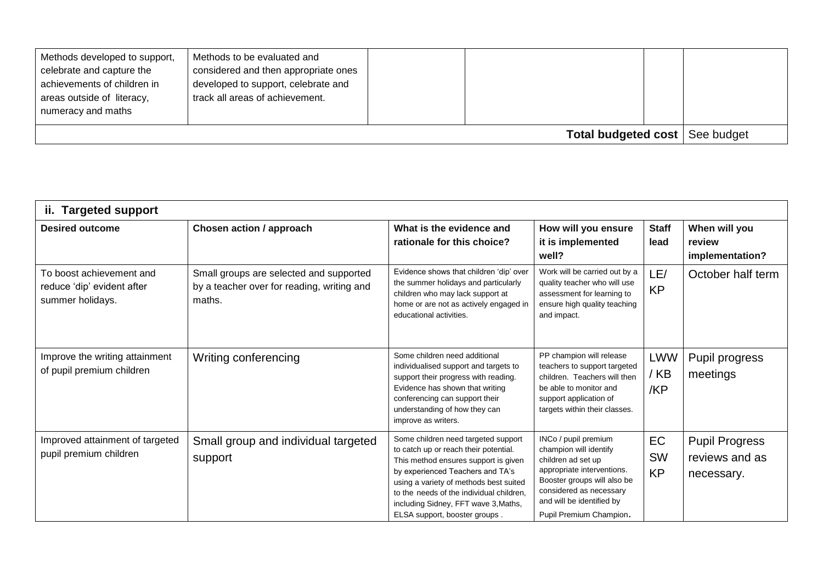| Methods developed to support,<br>celebrate and capture the<br>achievements of children in<br>areas outside of literacy,<br>numeracy and maths | Methods to be evaluated and<br>considered and then appropriate ones<br>developed to support, celebrate and<br>track all areas of achievement. |  |  |  |  |
|-----------------------------------------------------------------------------------------------------------------------------------------------|-----------------------------------------------------------------------------------------------------------------------------------------------|--|--|--|--|
| <b>Total budgeted cost</b>   See budget                                                                                                       |                                                                                                                                               |  |  |  |  |

| ii. Targeted support                                                       |                                                                                                 |                                                                                                                                                                                                                                                                                                                         |                                                                                                                                                                                                                      |                                     |                                                       |  |  |  |
|----------------------------------------------------------------------------|-------------------------------------------------------------------------------------------------|-------------------------------------------------------------------------------------------------------------------------------------------------------------------------------------------------------------------------------------------------------------------------------------------------------------------------|----------------------------------------------------------------------------------------------------------------------------------------------------------------------------------------------------------------------|-------------------------------------|-------------------------------------------------------|--|--|--|
| <b>Desired outcome</b>                                                     | Chosen action / approach                                                                        | What is the evidence and<br>rationale for this choice?                                                                                                                                                                                                                                                                  | How will you ensure<br>it is implemented<br>well?                                                                                                                                                                    | <b>Staff</b><br>lead                | When will you<br>review<br>implementation?            |  |  |  |
| To boost achievement and<br>reduce 'dip' evident after<br>summer holidays. | Small groups are selected and supported<br>by a teacher over for reading, writing and<br>maths. | Evidence shows that children 'dip' over<br>the summer holidays and particularly<br>children who may lack support at<br>home or are not as actively engaged in<br>educational activities.                                                                                                                                | Work will be carried out by a<br>quality teacher who will use<br>assessment for learning to<br>ensure high quality teaching<br>and impact.                                                                           | LE/<br><b>KP</b>                    | October half term                                     |  |  |  |
| Improve the writing attainment<br>of pupil premium children                | Writing conferencing                                                                            | Some children need additional<br>individualised support and targets to<br>support their progress with reading.<br>Evidence has shown that writing<br>conferencing can support their<br>understanding of how they can<br>improve as writers.                                                                             | PP champion will release<br>teachers to support targeted<br>children. Teachers will then<br>be able to monitor and<br>support application of<br>targets within their classes.                                        | <b>LWW</b><br>/ KB<br>/KP           | Pupil progress<br>meetings                            |  |  |  |
| Improved attainment of targeted<br>pupil premium children                  | Small group and individual targeted<br>support                                                  | Some children need targeted support<br>to catch up or reach their potential.<br>This method ensures support is given<br>by experienced Teachers and TA's<br>using a variety of methods best suited<br>to the needs of the individual children,<br>including Sidney, FFT wave 3, Maths,<br>ELSA support, booster groups. | INCo / pupil premium<br>champion will identify<br>children ad set up<br>appropriate interventions.<br>Booster groups will also be<br>considered as necessary<br>and will be identified by<br>Pupil Premium Champion. | <b>EC</b><br><b>SW</b><br><b>KP</b> | <b>Pupil Progress</b><br>reviews and as<br>necessary. |  |  |  |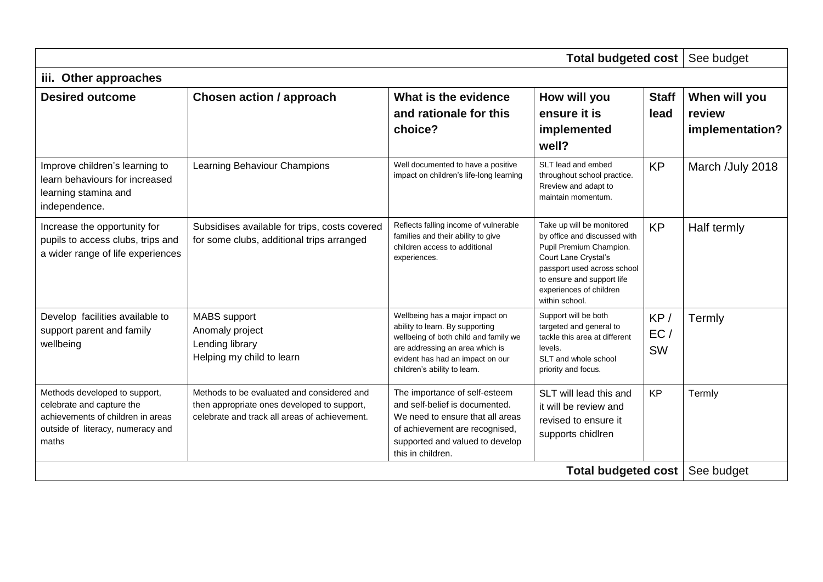| <b>Total budgeted cost</b>                                                                                                                    |                                                                                                                                            |                                                                                                                                                                                                                    |                                                                                                                                                                                                                        |                         |                                            |  |
|-----------------------------------------------------------------------------------------------------------------------------------------------|--------------------------------------------------------------------------------------------------------------------------------------------|--------------------------------------------------------------------------------------------------------------------------------------------------------------------------------------------------------------------|------------------------------------------------------------------------------------------------------------------------------------------------------------------------------------------------------------------------|-------------------------|--------------------------------------------|--|
| iii. Other approaches                                                                                                                         |                                                                                                                                            |                                                                                                                                                                                                                    |                                                                                                                                                                                                                        |                         |                                            |  |
| <b>Desired outcome</b>                                                                                                                        | <b>Chosen action / approach</b>                                                                                                            | What is the evidence<br>and rationale for this<br>choice?                                                                                                                                                          | How will you<br>ensure it is<br>implemented<br>well?                                                                                                                                                                   | <b>Staff</b><br>lead    | When will you<br>review<br>implementation? |  |
| Improve children's learning to<br>learn behaviours for increased<br>learning stamina and<br>independence.                                     | Learning Behaviour Champions                                                                                                               | Well documented to have a positive<br>impact on children's life-long learning                                                                                                                                      | SLT lead and embed<br>throughout school practice.<br>Rreview and adapt to<br>maintain momentum.                                                                                                                        | <b>KP</b>               | March /July 2018                           |  |
| Increase the opportunity for<br>pupils to access clubs, trips and<br>a wider range of life experiences                                        | Subsidises available for trips, costs covered<br>for some clubs, additional trips arranged                                                 | Reflects falling income of vulnerable<br>families and their ability to give<br>children access to additional<br>experiences.                                                                                       | Take up will be monitored<br>by office and discussed with<br>Pupil Premium Champion.<br>Court Lane Crystal's<br>passport used across school<br>to ensure and support life<br>experiences of children<br>within school. | <b>KP</b>               | Half termly                                |  |
| Develop facilities available to<br>support parent and family<br>wellbeing                                                                     | <b>MABS</b> support<br>Anomaly project<br>Lending library<br>Helping my child to learn                                                     | Wellbeing has a major impact on<br>ability to learn. By supporting<br>wellbeing of both child and family we<br>are addressing an area which is<br>evident has had an impact on our<br>children's ability to learn. | Support will be both<br>targeted and general to<br>tackle this area at different<br>levels.<br>SLT and whole school<br>priority and focus.                                                                             | KP/<br>EC/<br><b>SW</b> | Termly                                     |  |
| Methods developed to support,<br>celebrate and capture the<br>achievements of children in areas<br>outside of literacy, numeracy and<br>maths | Methods to be evaluated and considered and<br>then appropriate ones developed to support,<br>celebrate and track all areas of achievement. | The importance of self-esteem<br>and self-belief is documented.<br>We need to ensure that all areas<br>of achievement are recognised,<br>supported and valued to develop<br>this in children.                      | SLT will lead this and<br>it will be review and<br>revised to ensure it<br>supports chidlren                                                                                                                           | <b>KP</b>               | Termly                                     |  |
|                                                                                                                                               |                                                                                                                                            |                                                                                                                                                                                                                    | <b>Total budgeted cost</b>                                                                                                                                                                                             |                         | See budget                                 |  |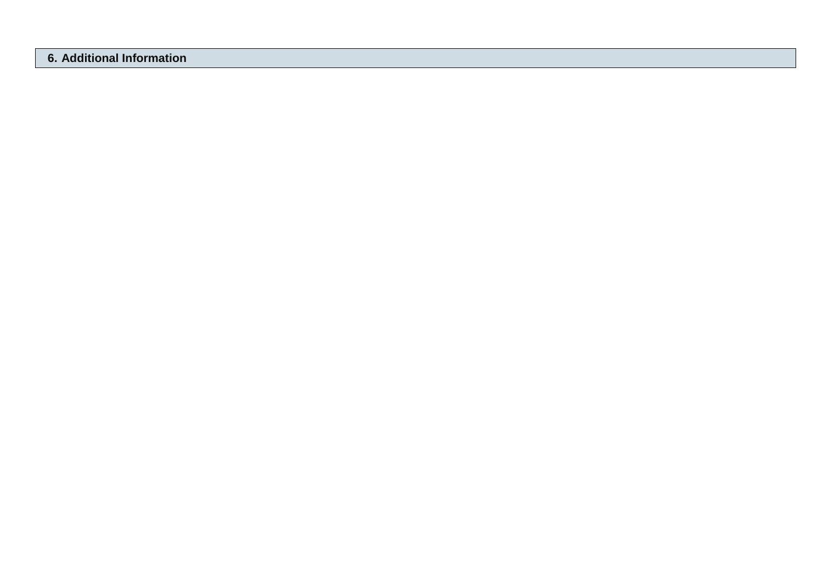### **6. Additional Information**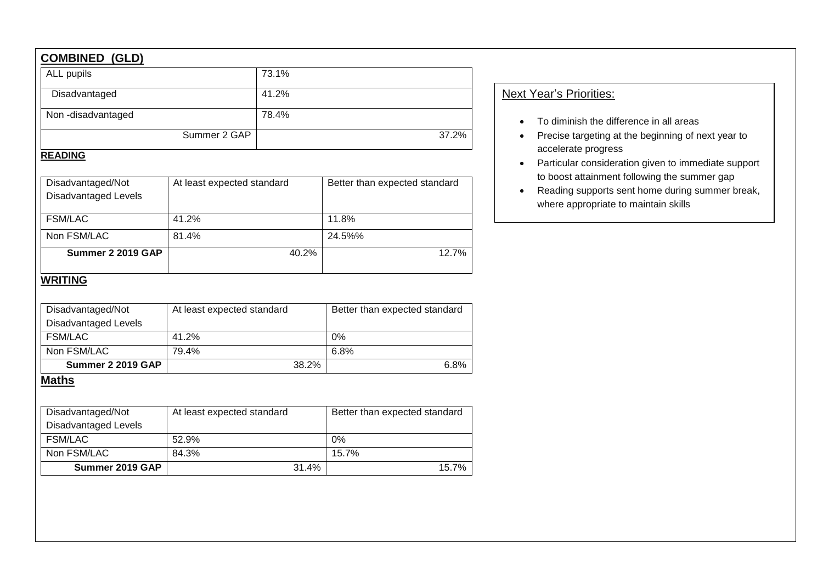## **COMBINED (GLD)**

| ALL pupils        | 73.1% |
|-------------------|-------|
| Disadvantaged     | 41.2% |
| Non-disadvantaged | 78.4% |
| Summer 2 GAP      | 37.2% |

## **READING**

| Disadvantaged/Not<br><b>Disadvantaged Levels</b> | At least expected standard | Better than expected standard |  |  |  |
|--------------------------------------------------|----------------------------|-------------------------------|--|--|--|
|                                                  |                            |                               |  |  |  |
| <b>FSM/LAC</b>                                   | 41.2%                      | 11.8%                         |  |  |  |
| Non FSM/LAC                                      | 81.4%                      | 24.5%%                        |  |  |  |
| Summer 2 2019 GAP                                | 40.2%                      | 12.7%                         |  |  |  |
|                                                  |                            |                               |  |  |  |

## **WRITING**

| Disadvantaged/Not           | At least expected standard | Better than expected standard |
|-----------------------------|----------------------------|-------------------------------|
| <b>Disadvantaged Levels</b> |                            |                               |
| <b>FSM/LAC</b>              | 41.2%                      | 0%                            |
| Non FSM/LAC                 | 79.4%                      | 6.8%                          |
| Summer 2 2019 GAP           | 38.2%                      |                               |

## **Maths**

| Disadvantaged/Not    | At least expected standard | Better than expected standard |
|----------------------|----------------------------|-------------------------------|
| Disadvantaged Levels |                            |                               |
| <b>FSM/LAC</b>       | 52.9%                      | 0%                            |
| Non FSM/LAC          | 84.3%                      | 15.7%                         |
| Summer 2019 GAP      | 31.4%                      | 15.7%                         |

## Next Year's Priorities:

- To diminish the difference in all areas
- Precise targeting at the beginning of next year to accelerate progress
- Particular consideration given to immediate support to boost attainment following the summer gap
- Reading supports sent home during summer break, where appropriate to maintain skills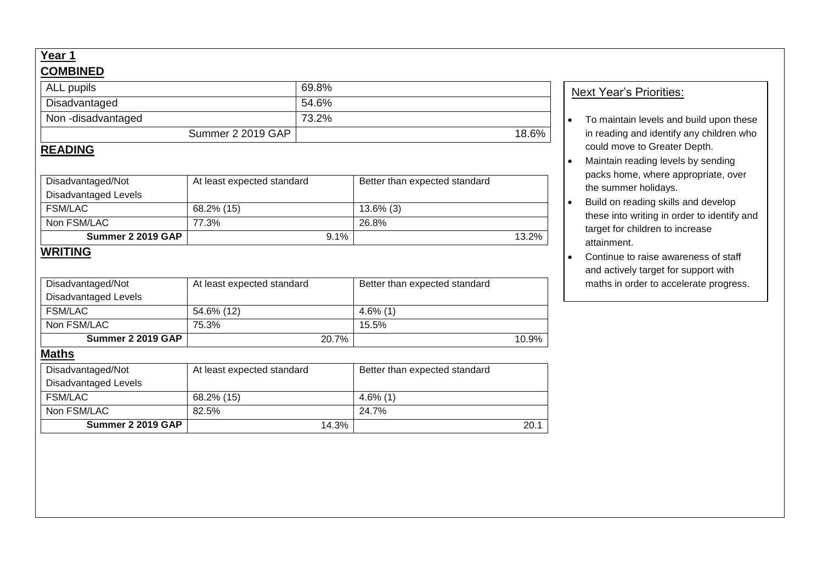## **Year 1 COMBINED**

| Disadvantaged/Not<br><b>Disadvantaged Levels</b><br><b>FSM/LAC</b><br>Non FSM/LAC<br>Summer 2 2019 GAP | At least expected standard<br>68.2% (15)<br>82.5% | 14.3% | Better than expected standard<br>$4.6\%$ (1)<br>24.7% | 20.1  |  |  |
|--------------------------------------------------------------------------------------------------------|---------------------------------------------------|-------|-------------------------------------------------------|-------|--|--|
| <b>Maths</b>                                                                                           |                                                   |       |                                                       |       |  |  |
|                                                                                                        |                                                   |       |                                                       |       |  |  |
|                                                                                                        |                                                   |       |                                                       |       |  |  |
|                                                                                                        |                                                   |       |                                                       |       |  |  |
|                                                                                                        |                                                   |       |                                                       |       |  |  |
| <b>Summer 2 2019 GAP</b>                                                                               | 20.7%                                             |       |                                                       | 10.9% |  |  |
| Non FSM/LAC                                                                                            | 75.3%                                             |       | 15.5%                                                 |       |  |  |
| <b>FSM/LAC</b>                                                                                         | 54.6% (12)                                        |       | $4.6\%$ (1)                                           |       |  |  |
| Disadvantaged Levels                                                                                   |                                                   |       |                                                       |       |  |  |
| Disadvantaged/Not                                                                                      | At least expected standard                        |       | Better than expected standard                         |       |  |  |
| <b>WRITING</b>                                                                                         |                                                   |       |                                                       |       |  |  |
| Summer 2 2019 GAP                                                                                      |                                                   | 9.1%  |                                                       | 13.2% |  |  |
| Non FSM/LAC                                                                                            | 77.3%                                             |       | 26.8%                                                 |       |  |  |
| <b>FSM/LAC</b>                                                                                         | 68.2% (15)                                        |       | $13.6\%$ (3)                                          |       |  |  |
| <b>Disadvantaged Levels</b>                                                                            |                                                   |       |                                                       |       |  |  |
| Disadvantaged/Not                                                                                      | At least expected standard                        |       | Better than expected standard                         |       |  |  |
| <b>READING</b>                                                                                         |                                                   |       |                                                       |       |  |  |
|                                                                                                        | Summer 2 2019 GAP                                 |       |                                                       | 18.6% |  |  |
| Non-disadvantaged                                                                                      |                                                   | 73.2% |                                                       |       |  |  |
|                                                                                                        |                                                   | 54.6% |                                                       |       |  |  |
| Disadvantaged                                                                                          | ALL pupils                                        |       | 69.8%                                                 |       |  |  |

#### **Next Year's Priorities:**

- To maintain levels and build upon these in reading and identify any children who could move to Greater Depth.
- Maintain reading levels by sending packs home, where appropriate, over the summer holidays.
- Build on reading skills and develop these into writing in order to identify and target for children to increase attainment.
- Continue to raise awareness of staff and actively target for support with maths in order to accelerate progress.